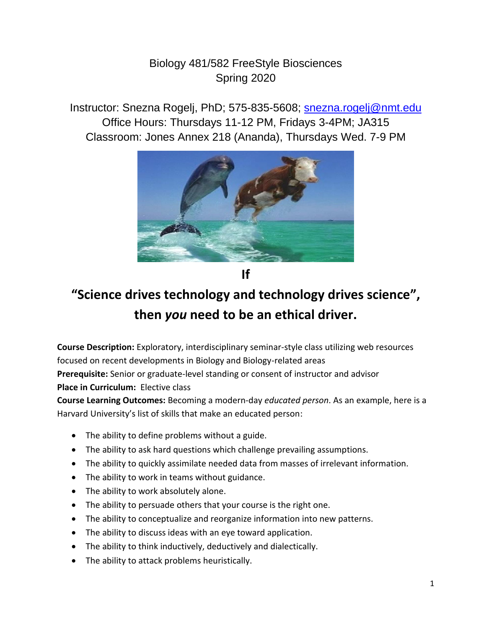## Biology 481/582 FreeStyle Biosciences Spring 2020

Instructor: Snezna Rogelj, PhD; 575-835-5608; [snezna.rogelj@nmt.edu](mailto:snezna.rogelj@nmt.edu) Office Hours: Thursdays 11-12 PM, Fridays 3-4PM; JA315 Classroom: Jones Annex 218 (Ananda), Thursdays Wed. 7-9 PM



**If**

## **"Science drives technology and technology drives science" , then** *you* **need to be an ethical driver.**

**Course Description:** Exploratory, interdisciplinary seminar-style class utilizing web resources focused on recent developments in Biology and Biology-related areas **Prerequisite:** Senior or graduate-level standing or consent of instructor and advisor **Place in Curriculum:** Elective class

**Course Learning Outcomes:** Becoming a modern-day *educated person*. As an example, here is a Harvard University's list of skills that make an educated person:

- The ability to define problems without a guide.
- The ability to ask hard questions which challenge prevailing assumptions.
- The ability to quickly assimilate needed data from masses of irrelevant information.
- The ability to work in teams without guidance.
- The ability to work absolutely alone.
- The ability to persuade others that your course is the right one.
- The ability to conceptualize and reorganize information into new patterns.
- The ability to discuss ideas with an eye toward application.
- The ability to think inductively, deductively and dialectically.
- The ability to attack problems heuristically.